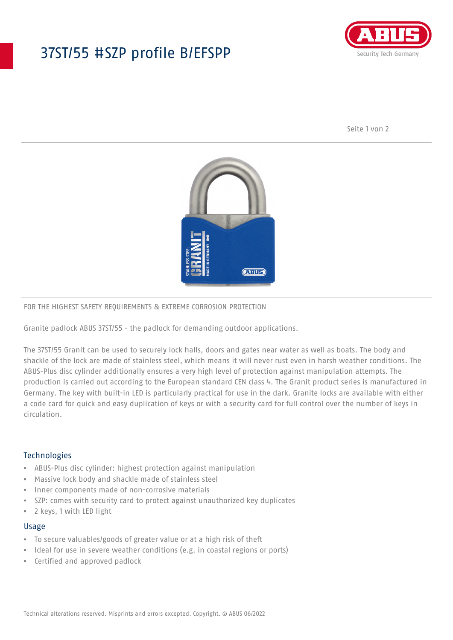## 37ST/55 #SZP profile B/EFSPP



Seite 1 von 2



#### FOR THE HIGHEST SAFETY REQUIREMENTS & EXTREME CORROSION PROTECTION

Granite padlock ABUS 37ST/55 - the padlock for demanding outdoor applications.

The 37ST/55 Granit can be used to securely lock halls, doors and gates near water as well as boats. The body and shackle of the lock are made of stainless steel, which means it will never rust even in harsh weather conditions. The ABUS-Plus disc cylinder additionally ensures a very high level of protection against manipulation attempts. The production is carried out according to the European standard CEN class 4. The Granit product series is manufactured in Germany. The key with built-in LED is particularly practical for use in the dark. Granite locks are available with either a code card for quick and easy duplication of keys or with a security card for full control over the number of keys in circulation.

#### **Technologies**

- ABUS-Plus disc cylinder: highest protection against manipulation
- Massive lock body and shackle made of stainless steel
- Inner components made of non-corrosive materials
- SZP: comes with security card to protect against unauthorized key duplicates
- 2 keys, 1 with LED light

#### Usage

- To secure valuables/goods of greater value or at a high risk of theft
- Ideal for use in severe weather conditions (e.g. in coastal regions or ports)
- Certified and approved padlock